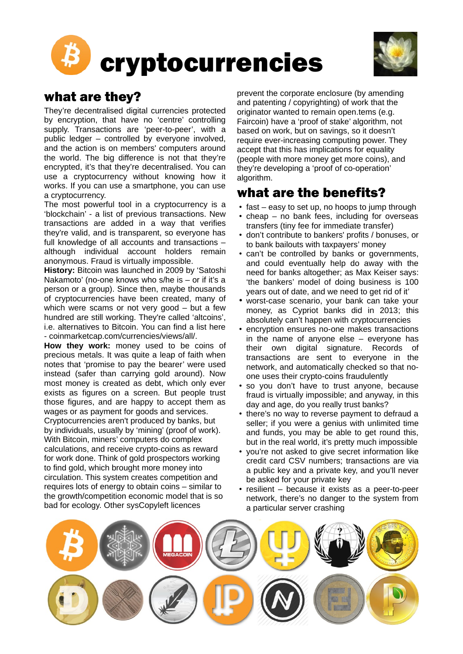



## what are they?

They're decentralised digital currencies protected by encryption, that have no 'centre' controlling supply. Transactions are 'peer-to-peer', with a public ledger – controlled by everyone involved, and the action is on members' computers around the world. The big difference is not that they're encrypted, it's that they're decentralised. You can use a cryptocurrency without knowing how it works. If you can use a smartphone, you can use a cryptocurrency.

The most powerful tool in a cryptocurrency is a 'blockchain' - a list of previous transactions. New transactions are added in a way that verifies they're valid, and is transparent, so everyone has full knowledge of all accounts and transactions – although individual account holders remain anonymous. Fraud is virtually impossible.

**History:** Bitcoin was launched in 2009 by 'Satoshi Nakamoto' (no-one knows who s/he is – or if it's a person or a group). Since then, maybe thousands of cryptocurrencies have been created, many of which were scams or not very good – but a few hundred are still working. They're called 'altcoins', i.e. alternatives to Bitcoin. You can find a list here - coinmarketcap.com/currencies/views/all/.

**How they work:** money used to be coins of precious metals. It was quite a leap of faith when notes that 'promise to pay the bearer' were used instead (safer than carrying gold around). Now most money is created as debt, which only ever exists as figures on a screen. But people trust those figures, and are happy to accept them as wages or as payment for goods and services. Cryptocurrencies aren't produced by banks, but by individuals, usually by 'mining' (proof of work). With Bitcoin, miners' computers do complex calculations, and receive crypto-coins as reward for work done. Think of gold prospectors working to find gold, which brought more money into circulation. This system creates competition and requires lots of energy to obtain coins – similar to the growth/competition economic model that is so bad for ecology. Other sysCopyleft licences

prevent the corporate enclosure (by amending and patenting / copyrighting) of work that the originator wanted to remain open.tems (e.g. Faircoin) have a 'proof of stake' algorithm, not based on work, but on savings, so it doesn't require ever-increasing computing power. They accept that this has implications for equality (people with more money get more coins), and they're developing a 'proof of co-operation' algorithm.

## what are the benefits?

- fast easy to set up, no hoops to jump through
- cheap no bank fees, including for overseas transfers (tiny fee for immediate transfer)
- don't contribute to bankers' profits / bonuses, or to bank bailouts with taxpayers' money
- can't be controlled by banks or governments, and could eventually help do away with the need for banks altogether; as Max Keiser says: 'the bankers' model of doing business is 100 years out of date, and we need to get rid of it'
- worst-case scenario, your bank can take your money, as Cypriot banks did in 2013; this absolutely can't happen with cryptocurrencies
- encryption ensures no-one makes transactions in the name of anyone else – everyone has their own digital signature. Records of transactions are sent to everyone in the network, and automatically checked so that noone uses their crypto-coins fraudulently
- so you don't have to trust anyone, because fraud is virtually impossible; and anyway, in this day and age, do you really trust banks?
- there's no way to reverse payment to defraud a seller; if you were a genius with unlimited time and funds, you may be able to get round this, but in the real world, it's pretty much impossible
- you're not asked to give secret information like credit card CSV numbers; transactions are via a public key and a private key, and you'll never be asked for your private key
- resilient because it exists as a peer-to-peer network, there's no danger to the system from a particular server crashing